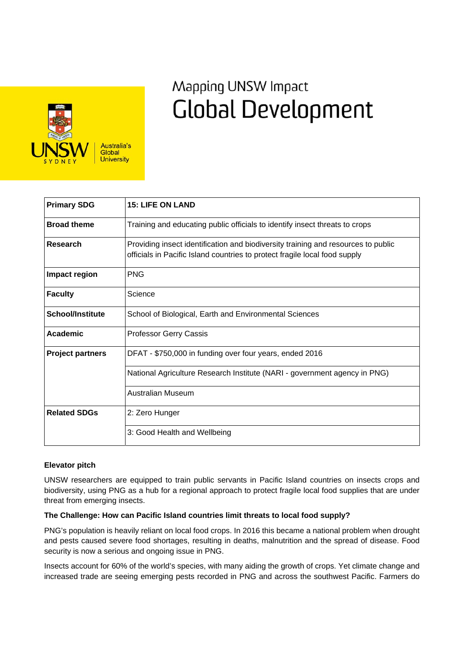

# Mapping UNSW Impact **Global Development**

| <b>Primary SDG</b>      | <b>15: LIFE ON LAND</b>                                                                                                                                         |
|-------------------------|-----------------------------------------------------------------------------------------------------------------------------------------------------------------|
| <b>Broad theme</b>      | Training and educating public officials to identify insect threats to crops                                                                                     |
| Research                | Providing insect identification and biodiversity training and resources to public<br>officials in Pacific Island countries to protect fragile local food supply |
| Impact region           | <b>PNG</b>                                                                                                                                                      |
| <b>Faculty</b>          | Science                                                                                                                                                         |
| <b>School/Institute</b> | School of Biological, Earth and Environmental Sciences                                                                                                          |
| <b>Academic</b>         | <b>Professor Gerry Cassis</b>                                                                                                                                   |
| <b>Project partners</b> | DFAT - \$750,000 in funding over four years, ended 2016                                                                                                         |
|                         | National Agriculture Research Institute (NARI - government agency in PNG)                                                                                       |
|                         | Australian Museum                                                                                                                                               |
| <b>Related SDGs</b>     | 2: Zero Hunger                                                                                                                                                  |
|                         | 3: Good Health and Wellbeing                                                                                                                                    |

## **Elevator pitch**

UNSW researchers are equipped to train public servants in Pacific Island countries on insects crops and biodiversity, using PNG as a hub for a regional approach to protect fragile local food supplies that are under threat from emerging insects.

## **The Challenge: How can Pacific Island countries limit threats to local food supply?**

PNG's population is heavily reliant on local food crops. In 2016 this became a national problem when drought and pests caused severe food shortages, resulting in deaths, malnutrition and the spread of disease. Food security is now a serious and ongoing issue in PNG.

Insects account for 60% of the world's species, with many aiding the growth of crops. Yet climate change and increased trade are seeing emerging pests recorded in PNG and across the southwest Pacific. Farmers do